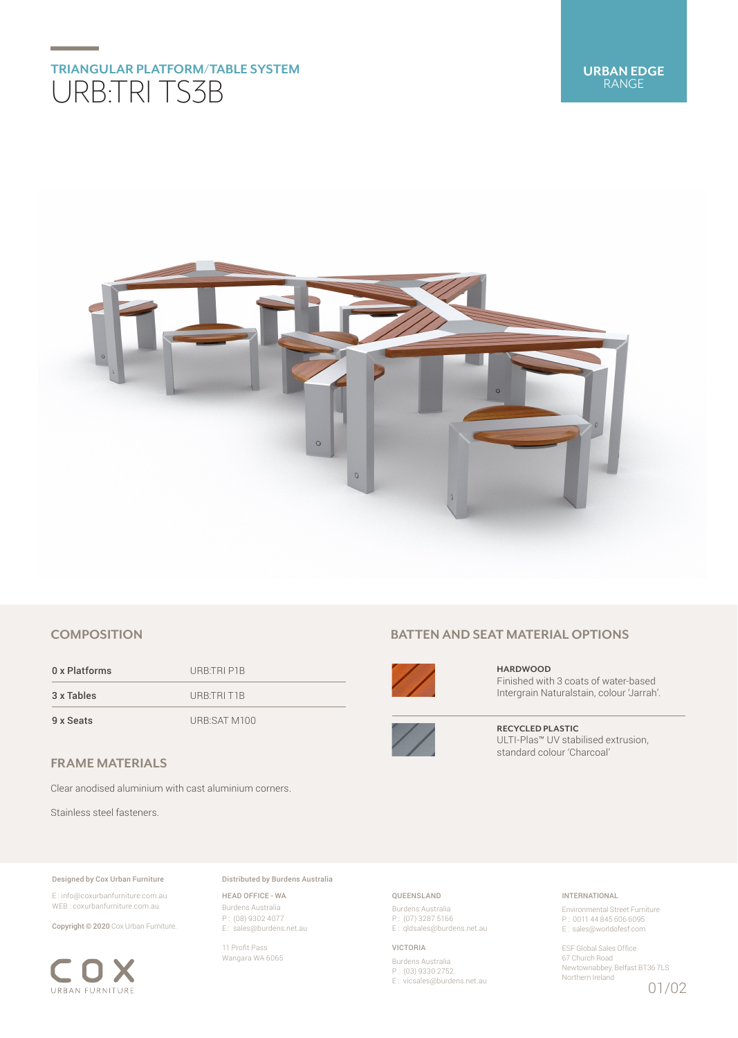# **TRIANGULAR PLATFORM/TABLE SYSTEM** URB:TRI TS3B



# **COMPOSITION**

0 x Platforms URB:TRI P1B 3 x Tables URB:TRI T1B 9 x Seats URB:SAT M100

# **FRAME MATERIALS**

Clear anodised aluminium with cast aluminium corners.

Stainless steel fasteners.

## Designed by Cox Urban Furniture

E : info@coxurbanfurniture.com.au WEB : coxurbanfurniture.com.au

Copyright © 2020 Cox Urban Furniture.



Distributed by Burdens Australia

HEAD OFFICE - WA Burdens Australia P : (08) 9302 4077 E : sales@burdens.net.au

11 Profit Pass Wangara WA 6065

# **BATTEN AND SEAT MATERIAL OPTIONS**



**HARDWOOD** Finished with 3 coats of water-based Intergrain Naturalstain, colour 'Jarrah'.



**RECYCLED PLASTIC** ULTI-Plas™ UV stabilised extrusion, standard colour 'Charcoal'

## QUEENSLAND

Burdens Australia P : (07) 3287 5166 E: qldsales@burdens.net.au

#### VICTORIA

Burdens Australia P : (03) 9330 2752 E : vicsales@burdens.net.au

## INTERNATIONAL

Environmental Street Furniture P : 0011 44 845 606 6095 E : sales@worldofesf.com

ESF Global Sales Office 67 Church Road Newtownabbey, Belfast BT36 7LS Northern Ireland